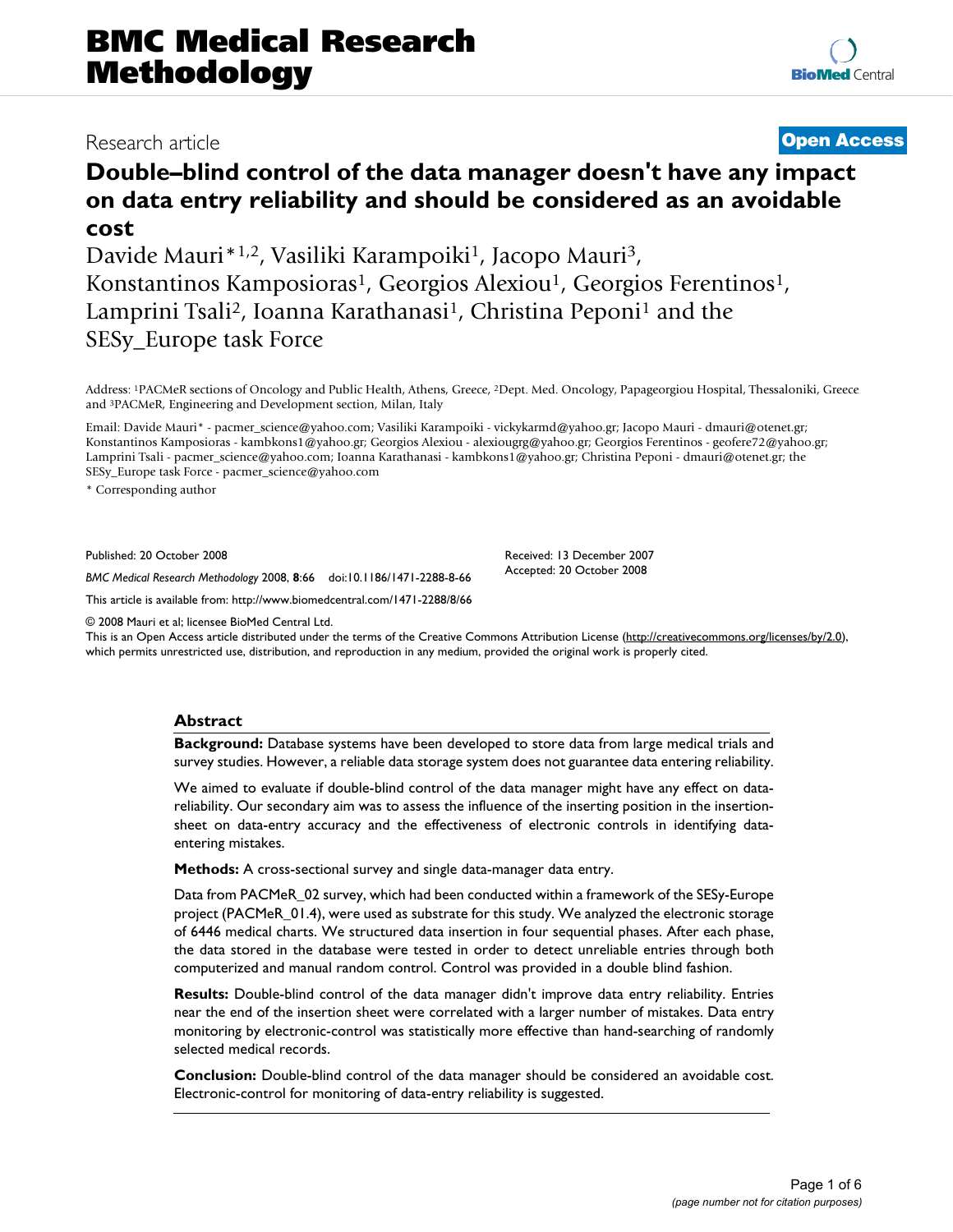## Research article **[Open Access](http://www.biomedcentral.com/info/about/charter/)**

# **Double–blind control of the data manager doesn't have any impact on data entry reliability and should be considered as an avoidable cost**

Davide Mauri\*<sup>1,2</sup>, Vasiliki Karampoiki<sup>1</sup>, Jacopo Mauri<sup>3</sup>, Konstantinos Kamposioras<sup>1</sup>, Georgios Alexiou<sup>1</sup>, Georgios Ferentinos<sup>1</sup>, Lamprini Tsali<sup>2</sup>, Ioanna Karathanasi<sup>1</sup>, Christina Peponi<sup>1</sup> and the SESy\_Europe task Force

Address: 1PACMeR sections of Oncology and Public Health, Athens, Greece, 2Dept. Med. Oncology, Papageorgiou Hospital, Thessaloniki, Greece and 3PACMeR, Engineering and Development section, Milan, Italy

Email: Davide Mauri\* - pacmer\_science@yahoo.com; Vasiliki Karampoiki - vickykarmd@yahoo.gr; Jacopo Mauri - dmauri@otenet.gr; Konstantinos Kamposioras - kambkons1@yahoo.gr; Georgios Alexiou - alexiougrg@yahoo.gr; Georgios Ferentinos - geofere72@yahoo.gr; Lamprini Tsali - pacmer\_science@yahoo.com; Ioanna Karathanasi - kambkons1@yahoo.gr; Christina Peponi - dmauri@otenet.gr; the SESy\_Europe task Force - pacmer\_science@yahoo.com

\* Corresponding author

Published: 20 October 2008

*BMC Medical Research Methodology* 2008, **8**:66 doi:10.1186/1471-2288-8-66

[This article is available from: http://www.biomedcentral.com/1471-2288/8/66](http://www.biomedcentral.com/1471-2288/8/66)

© 2008 Mauri et al; licensee BioMed Central Ltd.

This is an Open Access article distributed under the terms of the Creative Commons Attribution License [\(http://creativecommons.org/licenses/by/2.0\)](http://creativecommons.org/licenses/by/2.0), which permits unrestricted use, distribution, and reproduction in any medium, provided the original work is properly cited.

Received: 13 December 2007 Accepted: 20 October 2008

#### **Abstract**

**Background:** Database systems have been developed to store data from large medical trials and survey studies. However, a reliable data storage system does not guarantee data entering reliability.

We aimed to evaluate if double-blind control of the data manager might have any effect on datareliability. Our secondary aim was to assess the influence of the inserting position in the insertionsheet on data-entry accuracy and the effectiveness of electronic controls in identifying dataentering mistakes.

**Methods:** A cross-sectional survey and single data-manager data entry.

Data from PACMeR\_02 survey, which had been conducted within a framework of the SESy-Europe project (PACMeR\_01.4), were used as substrate for this study. We analyzed the electronic storage of 6446 medical charts. We structured data insertion in four sequential phases. After each phase, the data stored in the database were tested in order to detect unreliable entries through both computerized and manual random control. Control was provided in a double blind fashion.

**Results:** Double-blind control of the data manager didn't improve data entry reliability. Entries near the end of the insertion sheet were correlated with a larger number of mistakes. Data entry monitoring by electronic-control was statistically more effective than hand-searching of randomly selected medical records.

**Conclusion:** Double-blind control of the data manager should be considered an avoidable cost. Electronic-control for monitoring of data-entry reliability is suggested.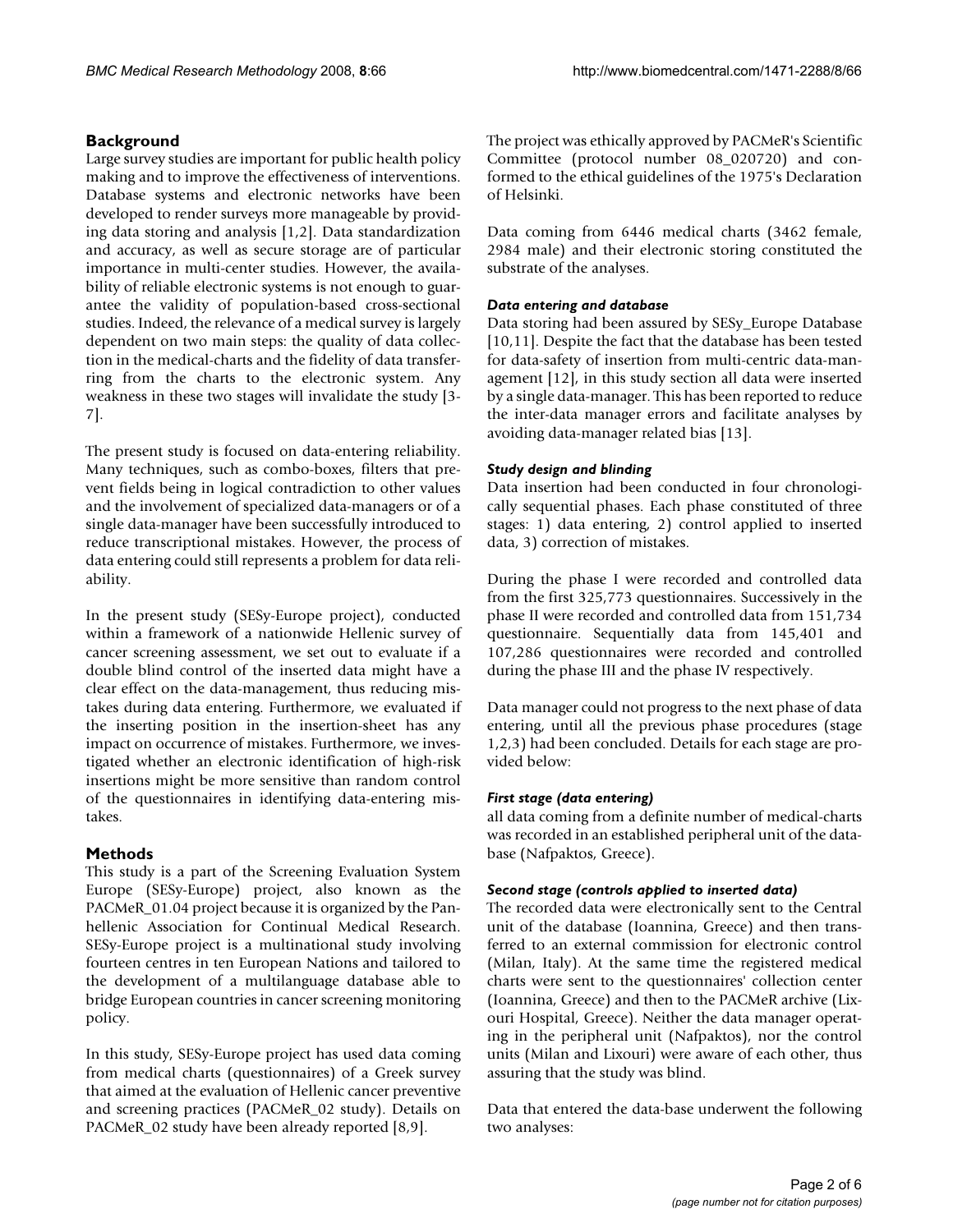### **Background**

Large survey studies are important for public health policy making and to improve the effectiveness of interventions. Database systems and electronic networks have been developed to render surveys more manageable by providing data storing and analysis [1,2]. Data standardization and accuracy, as well as secure storage are of particular importance in multi-center studies. However, the availability of reliable electronic systems is not enough to guarantee the validity of population-based cross-sectional studies. Indeed, the relevance of a medical survey is largely dependent on two main steps: the quality of data collection in the medical-charts and the fidelity of data transferring from the charts to the electronic system. Any weakness in these two stages will invalidate the study [3- 7].

The present study is focused on data-entering reliability. Many techniques, such as combo-boxes, filters that prevent fields being in logical contradiction to other values and the involvement of specialized data-managers or of a single data-manager have been successfully introduced to reduce transcriptional mistakes. However, the process of data entering could still represents a problem for data reliability.

In the present study (SESy-Europe project), conducted within a framework of a nationwide Hellenic survey of cancer screening assessment, we set out to evaluate if a double blind control of the inserted data might have a clear effect on the data-management, thus reducing mistakes during data entering. Furthermore, we evaluated if the inserting position in the insertion-sheet has any impact on occurrence of mistakes. Furthermore, we investigated whether an electronic identification of high-risk insertions might be more sensitive than random control of the questionnaires in identifying data-entering mistakes.

#### **Methods**

This study is a part of the Screening Evaluation System Europe (SESy-Europe) project, also known as the PACMeR\_01.04 project because it is organized by the Panhellenic Association for Continual Medical Research. SESy-Europe project is a multinational study involving fourteen centres in ten European Nations and tailored to the development of a multilanguage database able to bridge European countries in cancer screening monitoring policy.

In this study, SESy-Europe project has used data coming from medical charts (questionnaires) of a Greek survey that aimed at the evaluation of Hellenic cancer preventive and screening practices (PACMeR\_02 study). Details on PACMeR\_02 study have been already reported [8,9].

The project was ethically approved by PACMeR's Scientific Committee (protocol number 08\_020720) and conformed to the ethical guidelines of the 1975's Declaration of Helsinki.

Data coming from 6446 medical charts (3462 female, 2984 male) and their electronic storing constituted the substrate of the analyses.

### *Data entering and database*

Data storing had been assured by SESy\_Europe Database [10,11]. Despite the fact that the database has been tested for data-safety of insertion from multi-centric data-management [12], in this study section all data were inserted by a single data-manager. This has been reported to reduce the inter-data manager errors and facilitate analyses by avoiding data-manager related bias [13].

#### *Study design and blinding*

Data insertion had been conducted in four chronologically sequential phases. Each phase constituted of three stages: 1) data entering, 2) control applied to inserted data, 3) correction of mistakes.

During the phase I were recorded and controlled data from the first 325,773 questionnaires. Successively in the phase II were recorded and controlled data from 151,734 questionnaire. Sequentially data from 145,401 and 107,286 questionnaires were recorded and controlled during the phase III and the phase IV respectively.

Data manager could not progress to the next phase of data entering, until all the previous phase procedures (stage 1,2,3) had been concluded. Details for each stage are provided below:

#### *First stage (data entering)*

all data coming from a definite number of medical-charts was recorded in an established peripheral unit of the database (Nafpaktos, Greece).

#### *Second stage (controls applied to inserted data)*

The recorded data were electronically sent to the Central unit of the database (Ioannina, Greece) and then transferred to an external commission for electronic control (Milan, Italy). At the same time the registered medical charts were sent to the questionnaires' collection center (Ioannina, Greece) and then to the PACMeR archive (Lixouri Hospital, Greece). Neither the data manager operating in the peripheral unit (Nafpaktos), nor the control units (Milan and Lixouri) were aware of each other, thus assuring that the study was blind.

Data that entered the data-base underwent the following two analyses: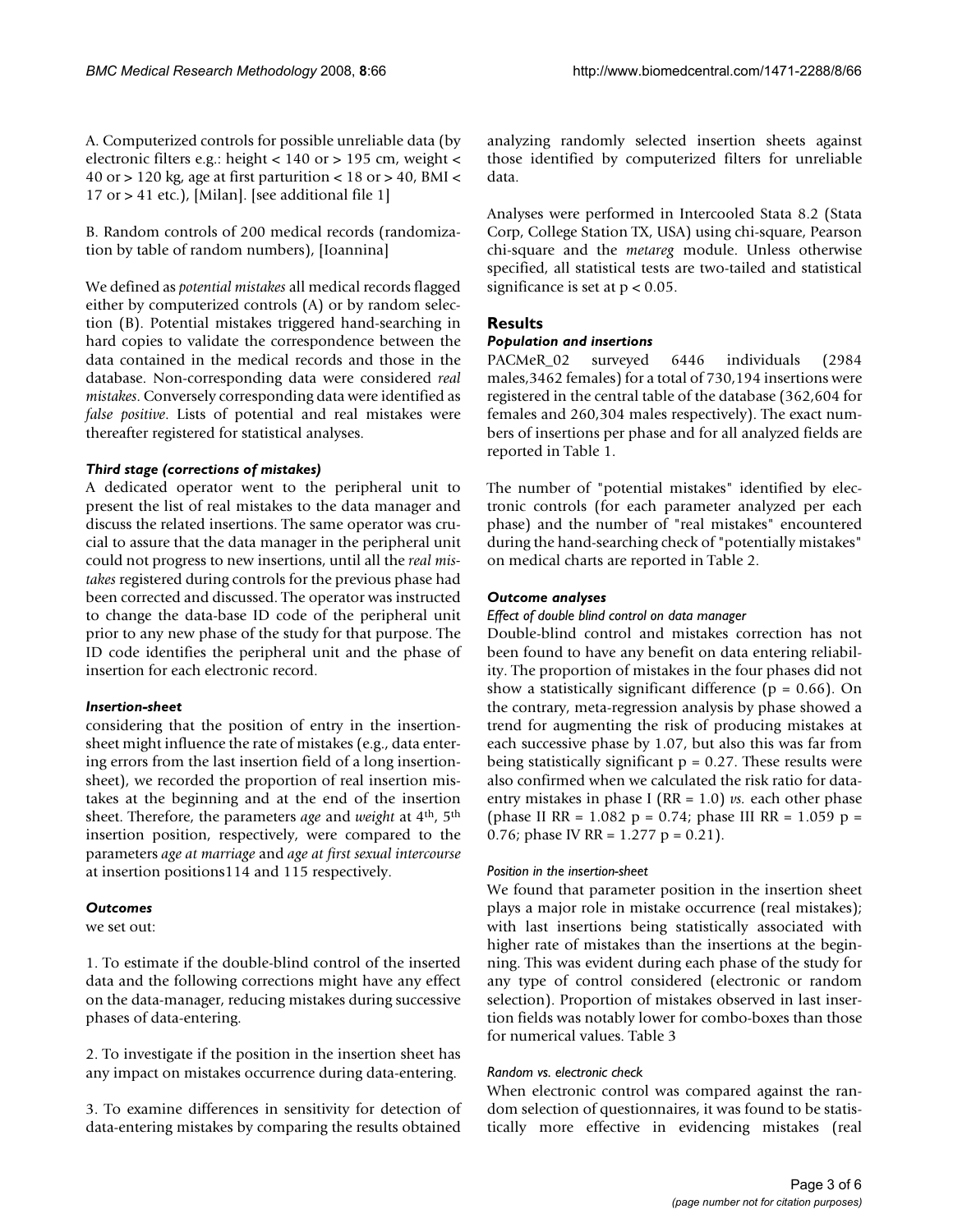A. Computerized controls for possible unreliable data (by electronic filters e.g.: height <  $140$  or >  $195$  cm, weight < 40 or  $> 120$  kg, age at first parturition  $< 18$  or  $> 40$ , BMI  $<$ 17 or  $> 41$  etc.), [Milan]. [see additional file 1]

B. Random controls of 200 medical records (randomization by table of random numbers), [Ioannina]

We defined as *potential mistakes* all medical records flagged either by computerized controls (A) or by random selection (B). Potential mistakes triggered hand-searching in hard copies to validate the correspondence between the data contained in the medical records and those in the database. Non-corresponding data were considered *real mistakes*. Conversely corresponding data were identified as *false positive*. Lists of potential and real mistakes were thereafter registered for statistical analyses.

#### *Third stage (corrections of mistakes)*

A dedicated operator went to the peripheral unit to present the list of real mistakes to the data manager and discuss the related insertions. The same operator was crucial to assure that the data manager in the peripheral unit could not progress to new insertions, until all the *real mistakes* registered during controls for the previous phase had been corrected and discussed. The operator was instructed to change the data-base ID code of the peripheral unit prior to any new phase of the study for that purpose. The ID code identifies the peripheral unit and the phase of insertion for each electronic record.

#### *Insertion-sheet*

considering that the position of entry in the insertionsheet might influence the rate of mistakes (e.g., data entering errors from the last insertion field of a long insertionsheet), we recorded the proportion of real insertion mistakes at the beginning and at the end of the insertion sheet. Therefore, the parameters *age* and *weight* at 4<sup>th</sup>, 5<sup>th</sup> insertion position, respectively, were compared to the parameters *age at marriage* and *age at first sexual intercourse* at insertion positions114 and 115 respectively.

#### *Outcomes*

we set out:

1. To estimate if the double-blind control of the inserted data and the following corrections might have any effect on the data-manager, reducing mistakes during successive phases of data-entering.

2. To investigate if the position in the insertion sheet has any impact on mistakes occurrence during data-entering.

3. To examine differences in sensitivity for detection of data-entering mistakes by comparing the results obtained analyzing randomly selected insertion sheets against those identified by computerized filters for unreliable data.

Analyses were performed in Intercooled Stata 8.2 (Stata Corp, College Station TX, USA) using chi-square, Pearson chi-square and the *metareg* module. Unless otherwise specified, all statistical tests are two-tailed and statistical significance is set at  $p < 0.05$ .

#### **Results**

#### *Population and insertions*

PACMeR 02 surveyed 6446 individuals (2984 males,3462 females) for a total of 730,194 insertions were registered in the central table of the database (362,604 for females and 260,304 males respectively). The exact numbers of insertions per phase and for all analyzed fields are reported in Table 1.

The number of "potential mistakes" identified by electronic controls (for each parameter analyzed per each phase) and the number of "real mistakes" encountered during the hand-searching check of "potentially mistakes" on medical charts are reported in Table 2.

#### *Outcome analyses*

#### *Effect of double blind control on data manager*

Double-blind control and mistakes correction has not been found to have any benefit on data entering reliability. The proportion of mistakes in the four phases did not show a statistically significant difference ( $p = 0.66$ ). On the contrary, meta-regression analysis by phase showed a trend for augmenting the risk of producing mistakes at each successive phase by 1.07, but also this was far from being statistically significant  $p = 0.27$ . These results were also confirmed when we calculated the risk ratio for dataentry mistakes in phase I (RR = 1.0) *vs.* each other phase (phase II RR = 1.082 p = 0.74; phase III RR = 1.059 p = 0.76; phase IV RR =  $1.277$  p = 0.21).

#### *Position in the insertion-sheet*

We found that parameter position in the insertion sheet plays a major role in mistake occurrence (real mistakes); with last insertions being statistically associated with higher rate of mistakes than the insertions at the beginning. This was evident during each phase of the study for any type of control considered (electronic or random selection). Proportion of mistakes observed in last insertion fields was notably lower for combo-boxes than those for numerical values. Table 3

#### *Random vs. electronic check*

When electronic control was compared against the random selection of questionnaires, it was found to be statistically more effective in evidencing mistakes (real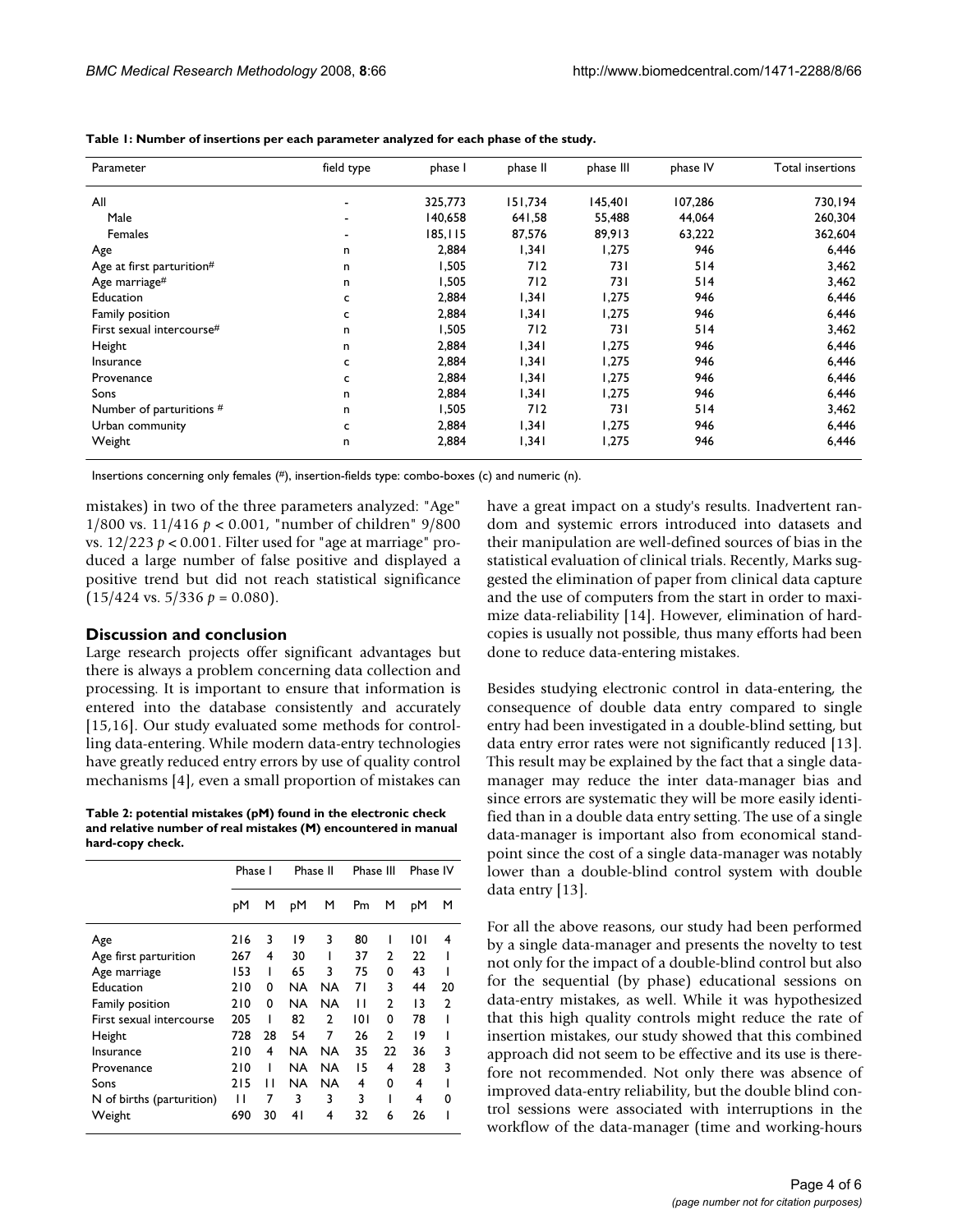| Parameter                 | field type | phase I | phase II | phase III | phase IV | Total insertions |
|---------------------------|------------|---------|----------|-----------|----------|------------------|
| All                       |            | 325,773 | 151,734  | 145,401   | 107,286  | 730,194          |
| Male                      |            | 140.658 | 641,58   | 55,488    | 44,064   | 260,304          |
| Females                   |            | 185,115 | 87,576   | 89,913    | 63,222   | 362,604          |
| Age                       | n.         | 2,884   | 1,341    | 1,275     | 946      | 6,446            |
| Age at first parturition# | n          | 1,505   | 712      | 73 I      | 514      | 3,462            |
| Age marriage#             | n          | 1,505   | 712      | 73 I      | 514      | 3,462            |
| <b>Education</b>          | c          | 2,884   | 1,341    | 1,275     | 946      | 6,446            |
| Family position           | c          | 2,884   | 1,341    | 1,275     | 946      | 6,446            |
| First sexual intercourse# | n          | 1,505   | 712      | 73 I      | 514      | 3,462            |
| Height                    | n          | 2,884   | 1,341    | 1,275     | 946      | 6,446            |
| Insurance                 | c          | 2,884   | 1,341    | 1,275     | 946      | 6,446            |
| Provenance                | c          | 2,884   | 1,341    | 1,275     | 946      | 6,446            |
| Sons                      | n          | 2,884   | 1,341    | 1,275     | 946      | 6,446            |
| Number of parturitions #  | n          | 1,505   | 712      | 73 I      | 514      | 3,462            |
| Urban community           | c          | 2,884   | 1,341    | 1,275     | 946      | 6,446            |
| Weight                    | n          | 2,884   | 1,341    | 1,275     | 946      | 6,446            |

**Table 1: Number of insertions per each parameter analyzed for each phase of the study.**

Insertions concerning only females (#), insertion-fields type: combo-boxes (c) and numeric (n).

mistakes) in two of the three parameters analyzed: "Age" 1/800 vs. 11/416 *p* < 0.001, "number of children" 9/800 vs.  $12/223$   $p < 0.001$ . Filter used for "age at marriage" produced a large number of false positive and displayed a positive trend but did not reach statistical significance  $(15/424 \text{ vs. } 5/336 \text{ p} = 0.080).$ 

#### **Discussion and conclusion**

Large research projects offer significant advantages but there is always a problem concerning data collection and processing. It is important to ensure that information is entered into the database consistently and accurately [15,16]. Our study evaluated some methods for controlling data-entering. While modern data-entry technologies have greatly reduced entry errors by use of quality control mechanisms [4], even a small proportion of mistakes can

**Table 2: potential mistakes (pM) found in the electronic check and relative number of real mistakes (M) encountered in manual hard-copy check.**

|                           | Phase I |    | Phase II  |               | Phase III |                | Phase IV |               |
|---------------------------|---------|----|-----------|---------------|-----------|----------------|----------|---------------|
|                           | pМ      | м  | pМ        | м             | Pm        | м              | pМ       | м             |
| Age                       | 216     | 3  | 19        | 3             | 80        | ı              | 101      | 4             |
| Age first parturition     | 267     | 4  | 30        |               | 37        | 2              | 22       | ı             |
| Age marriage              | 153     | ı  | 65        | 3             | 75        | 0              | 43       |               |
| Education                 | 210     | 0  | NA        | NA            | 71        | 3              | 44       | 20            |
| Family position           | 210     | 0  | NA        | NA            | П         | $\mathfrak z$  | 13       | $\mathcal{P}$ |
| First sexual intercourse  | 205     | ı  | 82        | $\mathcal{P}$ | 101       | O              | 78       |               |
| Height                    | 728     | 28 | 54        | 7             | 26        | $\overline{2}$ | 19       |               |
| Insurance                 | 210     | 4  | NA        | NA            | 35        | 22             | 36       | 3             |
| Provenance                | 210     | ı  | NA        | NA            | 15        | 4              | 28       | 3             |
| Sons                      | 215     | п  | <b>NA</b> | <b>NA</b>     | 4         | 0              | 4        |               |
| N of births (parturition) | п       | 7  | 3         | 3             | 3         |                | 4        | O             |
| Weight                    | 690     | 30 | 41        | 4             | 32        | 6              | 26       |               |

have a great impact on a study's results. Inadvertent random and systemic errors introduced into datasets and their manipulation are well-defined sources of bias in the statistical evaluation of clinical trials. Recently, Marks suggested the elimination of paper from clinical data capture and the use of computers from the start in order to maximize data-reliability [14]. However, elimination of hardcopies is usually not possible, thus many efforts had been done to reduce data-entering mistakes.

Besides studying electronic control in data-entering, the consequence of double data entry compared to single entry had been investigated in a double-blind setting, but data entry error rates were not significantly reduced [13]. This result may be explained by the fact that a single datamanager may reduce the inter data-manager bias and since errors are systematic they will be more easily identified than in a double data entry setting. The use of a single data-manager is important also from economical standpoint since the cost of a single data-manager was notably lower than a double-blind control system with double data entry [13].

For all the above reasons, our study had been performed by a single data-manager and presents the novelty to test not only for the impact of a double-blind control but also for the sequential (by phase) educational sessions on data-entry mistakes, as well. While it was hypothesized that this high quality controls might reduce the rate of insertion mistakes, our study showed that this combined approach did not seem to be effective and its use is therefore not recommended. Not only there was absence of improved data-entry reliability, but the double blind control sessions were associated with interruptions in the workflow of the data-manager (time and working-hours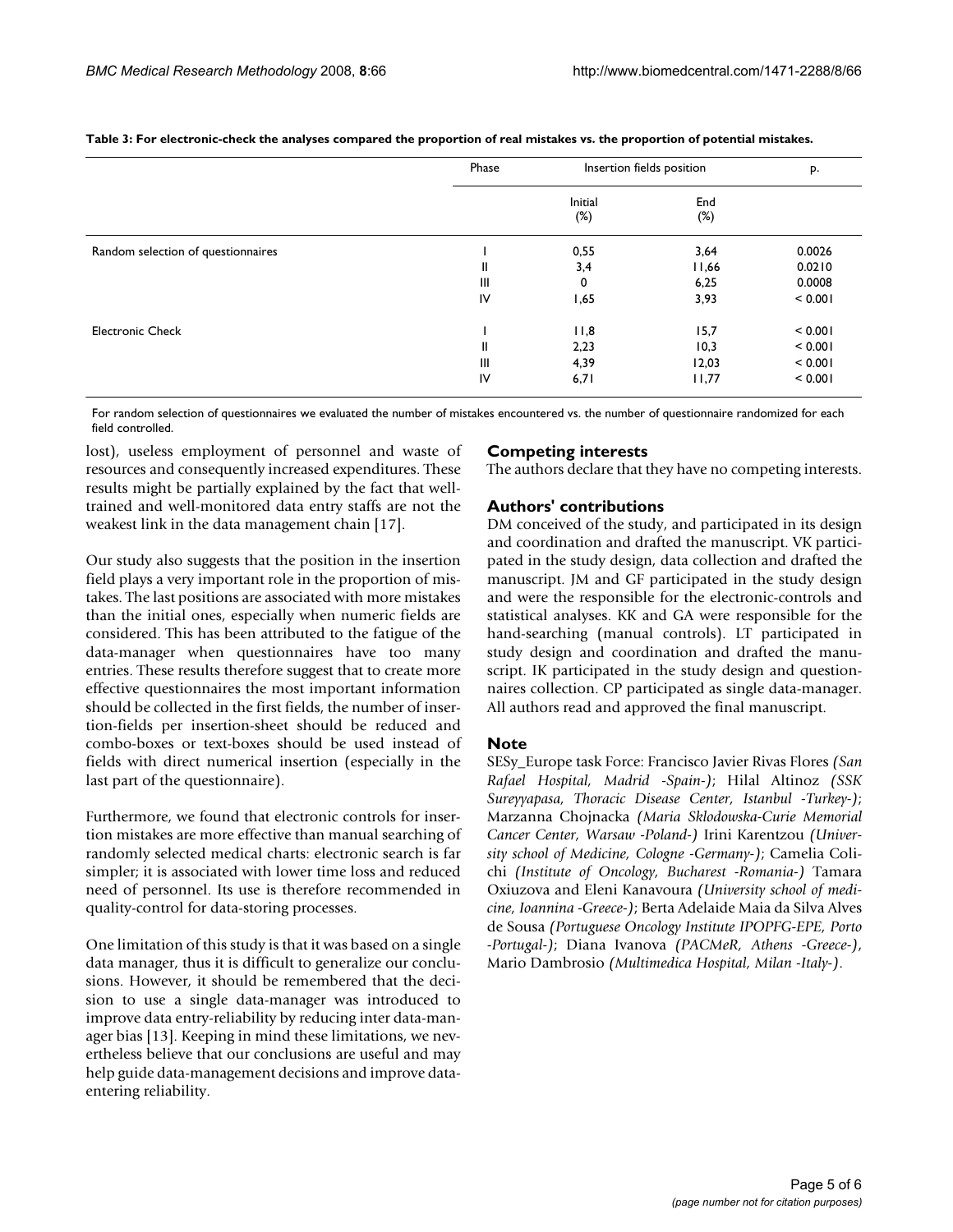|                                    | Phase | Insertion fields position | p.         |         |
|------------------------------------|-------|---------------------------|------------|---------|
|                                    |       | Initial<br>(%)            | End<br>(%) |         |
| Random selection of questionnaires |       | 0,55                      | 3,64       | 0.0026  |
|                                    | Ш     | 3,4                       | 11,66      | 0.0210  |
|                                    | Ш     | 0                         | 6,25       | 0.0008  |
|                                    | IV    | 1,65                      | 3,93       | < 0.001 |
| <b>Electronic Check</b>            |       | 11,8                      | 15,7       | < 0.001 |
|                                    | Ш     | 2,23                      | 10,3       | < 0.001 |
|                                    | Ш     | 4,39                      | 12,03      | < 0.001 |
|                                    | IV    | 6,71                      | 11,77      | < 0.001 |

**Table 3: For electronic-check the analyses compared the proportion of real mistakes vs. the proportion of potential mistakes.** 

For random selection of questionnaires we evaluated the number of mistakes encountered vs. the number of questionnaire randomized for each field controlled.

lost), useless employment of personnel and waste of resources and consequently increased expenditures. These results might be partially explained by the fact that welltrained and well-monitored data entry staffs are not the weakest link in the data management chain [17].

Our study also suggests that the position in the insertion field plays a very important role in the proportion of mistakes. The last positions are associated with more mistakes than the initial ones, especially when numeric fields are considered. This has been attributed to the fatigue of the data-manager when questionnaires have too many entries. These results therefore suggest that to create more effective questionnaires the most important information should be collected in the first fields, the number of insertion-fields per insertion-sheet should be reduced and combo-boxes or text-boxes should be used instead of fields with direct numerical insertion (especially in the last part of the questionnaire).

Furthermore, we found that electronic controls for insertion mistakes are more effective than manual searching of randomly selected medical charts: electronic search is far simpler; it is associated with lower time loss and reduced need of personnel. Its use is therefore recommended in quality-control for data-storing processes.

One limitation of this study is that it was based on a single data manager, thus it is difficult to generalize our conclusions. However, it should be remembered that the decision to use a single data-manager was introduced to improve data entry-reliability by reducing inter data-manager bias [13]. Keeping in mind these limitations, we nevertheless believe that our conclusions are useful and may help guide data-management decisions and improve dataentering reliability.

#### **Competing interests**

The authors declare that they have no competing interests.

#### **Authors' contributions**

DM conceived of the study, and participated in its design and coordination and drafted the manuscript. VK participated in the study design, data collection and drafted the manuscript. JM and GF participated in the study design and were the responsible for the electronic-controls and statistical analyses. KK and GA were responsible for the hand-searching (manual controls). LT participated in study design and coordination and drafted the manuscript. IK participated in the study design and questionnaires collection. CP participated as single data-manager. All authors read and approved the final manuscript.

#### **Note**

SESy\_Europe task Force: Francisco Javier Rivas Flores *(San Rafael Hospital, Madrid -Spain-)*; Hilal Altinoz *(SSK Sureyyapasa, Thoracic Disease Center, Istanbul -Turkey-)*; Marzanna Chojnacka *(Maria Sklodowska-Curie Memorial Cancer Center, Warsaw -Poland-)* Irini Karentzou *(University school of Medicine, Cologne -Germany-)*; Camelia Colichi *(Institute of Oncology, Bucharest -Romania-)* Tamara Oxiuzova and Eleni Kanavoura *(University school of medicine, Ioannina -Greece-)*; Berta Adelaide Maia da Silva Alves de Sousa *(Portuguese Oncology Institute IPOPFG-EPE, Porto -Portugal-)*; Diana Ivanova *(PACMeR, Athens -Greece-)*, Mario Dambrosio *(Multimedica Hospital, Milan -Italy-)*.